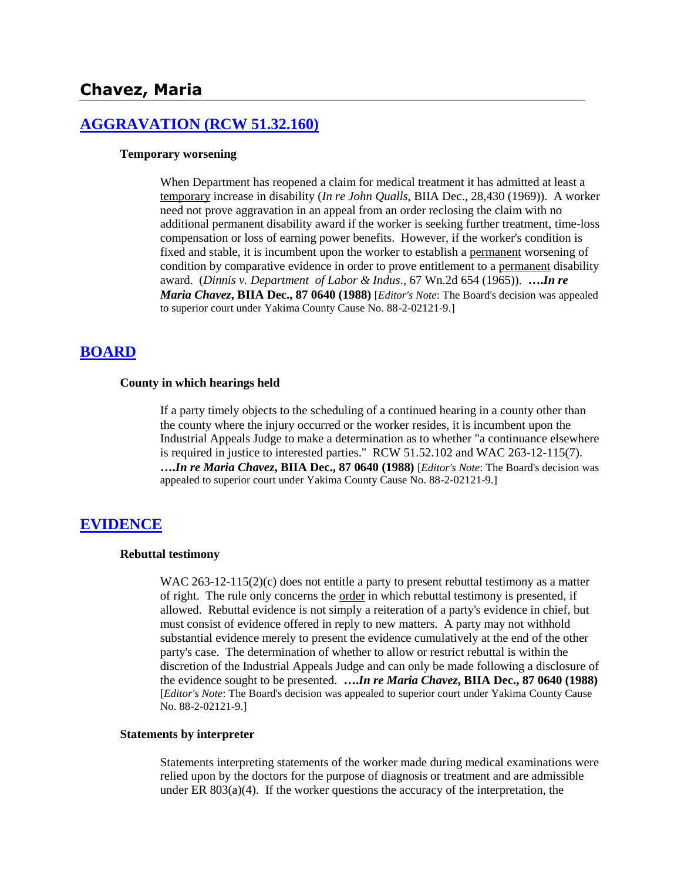# **Chavez, Maria**

## **[AGGRAVATION \(RCW 51.32.160\)](http://www.biia.wa.gov/SDSubjectIndex.html#AGGRAVATION)**

#### **Temporary worsening**

When Department has reopened a claim for medical treatment it has admitted at least a temporary increase in disability (*In re John Qualls*, BIIA Dec., 28,430 (1969)). A worker need not prove aggravation in an appeal from an order reclosing the claim with no additional permanent disability award if the worker is seeking further treatment, time-loss compensation or loss of earning power benefits. However, if the worker's condition is fixed and stable, it is incumbent upon the worker to establish a permanent worsening of condition by comparative evidence in order to prove entitlement to a permanent disability award. (*Dinnis v. Department of Labor & Indus*., 67 Wn.2d 654 (1965)). **….***In re Maria Chavez***, BIIA Dec., 87 0640 (1988)** [*Editor's Note*: The Board's decision was appealed to superior court under Yakima County Cause No. 88-2-02121-9.]

## **[BOARD](http://www.biia.wa.gov/SDSubjectIndex.html#BOARD)**

### **County in which hearings held**

If a party timely objects to the scheduling of a continued hearing in a county other than the county where the injury occurred or the worker resides, it is incumbent upon the Industrial Appeals Judge to make a determination as to whether "a continuance elsewhere is required in justice to interested parties." RCW 51.52.102 and WAC 263-12-115(7). **….***In re Maria Chavez***, BIIA Dec., 87 0640 (1988)** [*Editor's Note*: The Board's decision was appealed to superior court under Yakima County Cause No. 88-2-02121-9.]

## **[EVIDENCE](http://www.biia.wa.gov/SDSubjectIndex.html#EVIDENCE)**

#### **Rebuttal testimony**

WAC  $263-12-115(2)(c)$  does not entitle a party to present rebuttal testimony as a matter of right. The rule only concerns the order in which rebuttal testimony is presented, if allowed. Rebuttal evidence is not simply a reiteration of a party's evidence in chief, but must consist of evidence offered in reply to new matters. A party may not withhold substantial evidence merely to present the evidence cumulatively at the end of the other party's case. The determination of whether to allow or restrict rebuttal is within the discretion of the Industrial Appeals Judge and can only be made following a disclosure of the evidence sought to be presented. **….***In re Maria Chavez***, BIIA Dec., 87 0640 (1988)**  [*Editor's Note*: The Board's decision was appealed to superior court under Yakima County Cause No. 88-2-02121-9.]

## **Statements by interpreter**

Statements interpreting statements of the worker made during medical examinations were relied upon by the doctors for the purpose of diagnosis or treatment and are admissible under ER  $803(a)(4)$ . If the worker questions the accuracy of the interpretation, the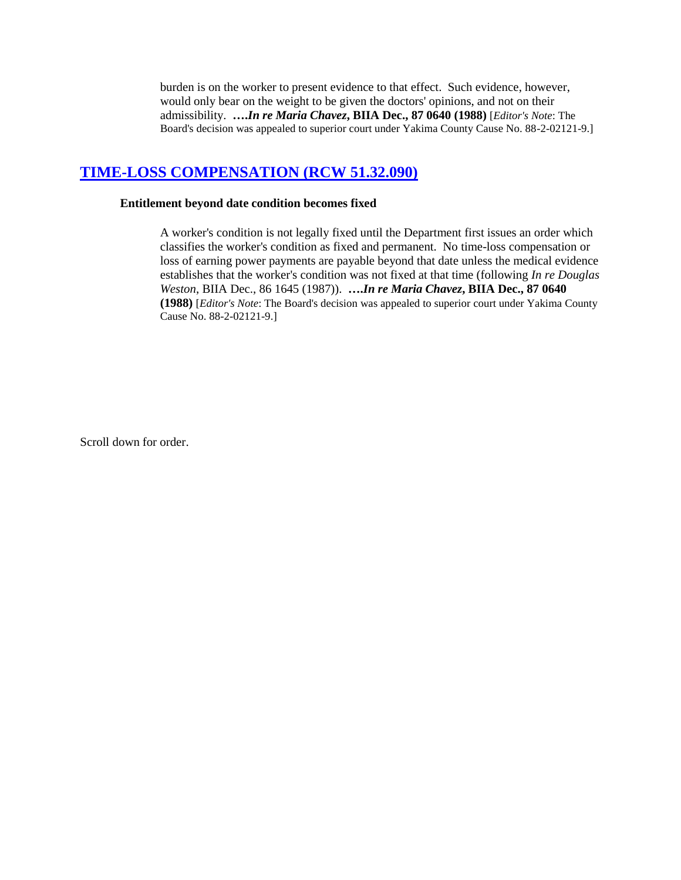burden is on the worker to present evidence to that effect. Such evidence, however, would only bear on the weight to be given the doctors' opinions, and not on their admissibility. **….***In re Maria Chavez***, BIIA Dec., 87 0640 (1988)** [*Editor's Note*: The Board's decision was appealed to superior court under Yakima County Cause No. 88-2-02121-9.]

# **[TIME-LOSS COMPENSATION \(RCW 51.32.090\)](http://www.biia.wa.gov/SDSubjectIndex.html#TIME_LOSS_COMPENSATION)**

## **Entitlement beyond date condition becomes fixed**

A worker's condition is not legally fixed until the Department first issues an order which classifies the worker's condition as fixed and permanent. No time-loss compensation or loss of earning power payments are payable beyond that date unless the medical evidence establishes that the worker's condition was not fixed at that time (following *In re Douglas Weston*, BIIA Dec., 86 1645 (1987)). **….***In re Maria Chavez***, BIIA Dec., 87 0640 (1988)** [*Editor's Note*: The Board's decision was appealed to superior court under Yakima County Cause No. 88-2-02121-9.]

Scroll down for order.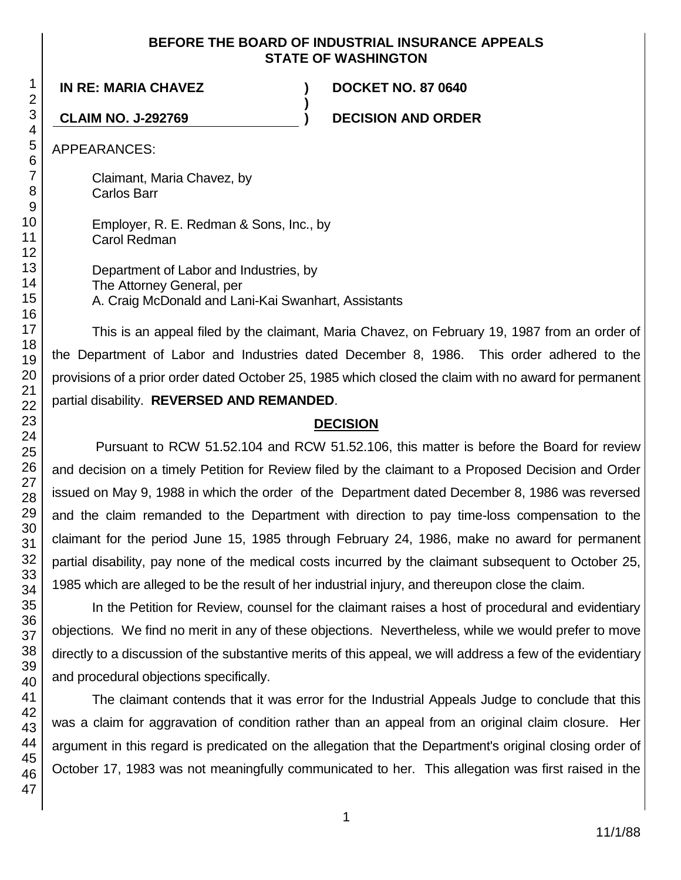# **BEFORE THE BOARD OF INDUSTRIAL INSURANCE APPEALS STATE OF WASHINGTON**

**)**

**IN RE: MARIA CHAVEZ ) DOCKET NO. 87 0640**

**CLAIM NO. J-292769 ) DECISION AND ORDER**

APPEARANCES:

Claimant, Maria Chavez, by Carlos Barr

Employer, R. E. Redman & Sons, Inc., by Carol Redman

Department of Labor and Industries, by The Attorney General, per A. Craig McDonald and Lani-Kai Swanhart, Assistants

This is an appeal filed by the claimant, Maria Chavez, on February 19, 1987 from an order of the Department of Labor and Industries dated December 8, 1986. This order adhered to the provisions of a prior order dated October 25, 1985 which closed the claim with no award for permanent partial disability. **REVERSED AND REMANDED**.

# **DECISION**

Pursuant to RCW 51.52.104 and RCW 51.52.106, this matter is before the Board for review and decision on a timely Petition for Review filed by the claimant to a Proposed Decision and Order issued on May 9, 1988 in which the order of the Department dated December 8, 1986 was reversed and the claim remanded to the Department with direction to pay time-loss compensation to the claimant for the period June 15, 1985 through February 24, 1986, make no award for permanent partial disability, pay none of the medical costs incurred by the claimant subsequent to October 25, 1985 which are alleged to be the result of her industrial injury, and thereupon close the claim.

In the Petition for Review, counsel for the claimant raises a host of procedural and evidentiary objections. We find no merit in any of these objections. Nevertheless, while we would prefer to move directly to a discussion of the substantive merits of this appeal, we will address a few of the evidentiary and procedural objections specifically.

The claimant contends that it was error for the Industrial Appeals Judge to conclude that this was a claim for aggravation of condition rather than an appeal from an original claim closure. Her argument in this regard is predicated on the allegation that the Department's original closing order of October 17, 1983 was not meaningfully communicated to her. This allegation was first raised in the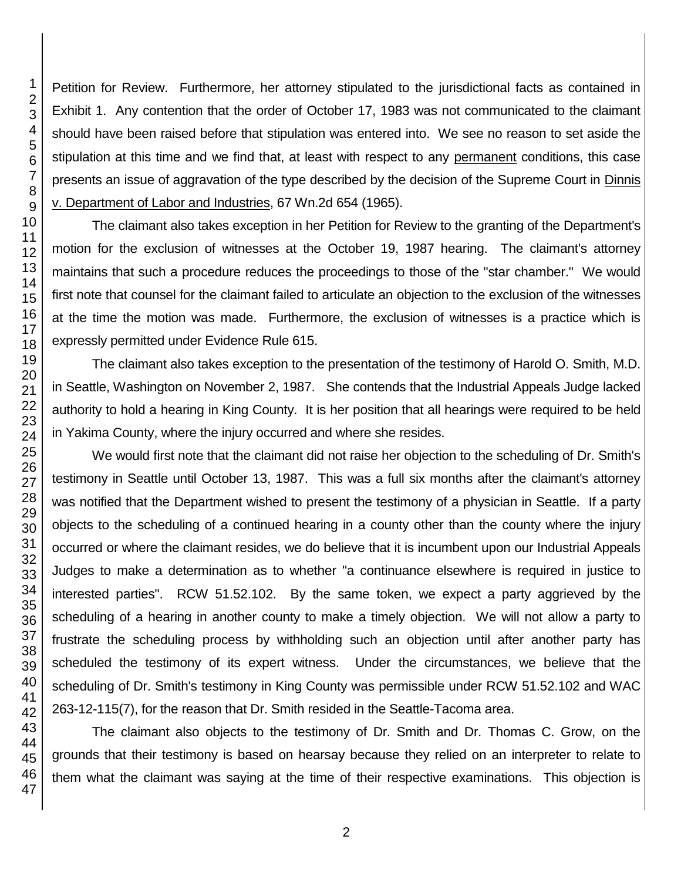Petition for Review. Furthermore, her attorney stipulated to the jurisdictional facts as contained in Exhibit 1. Any contention that the order of October 17, 1983 was not communicated to the claimant should have been raised before that stipulation was entered into. We see no reason to set aside the stipulation at this time and we find that, at least with respect to any permanent conditions, this case presents an issue of aggravation of the type described by the decision of the Supreme Court in Dinnis v. Department of Labor and Industries, 67 Wn.2d 654 (1965).

The claimant also takes exception in her Petition for Review to the granting of the Department's motion for the exclusion of witnesses at the October 19, 1987 hearing. The claimant's attorney maintains that such a procedure reduces the proceedings to those of the "star chamber." We would first note that counsel for the claimant failed to articulate an objection to the exclusion of the witnesses at the time the motion was made. Furthermore, the exclusion of witnesses is a practice which is expressly permitted under Evidence Rule 615.

The claimant also takes exception to the presentation of the testimony of Harold O. Smith, M.D. in Seattle, Washington on November 2, 1987. She contends that the Industrial Appeals Judge lacked authority to hold a hearing in King County. It is her position that all hearings were required to be held in Yakima County, where the injury occurred and where she resides.

We would first note that the claimant did not raise her objection to the scheduling of Dr. Smith's testimony in Seattle until October 13, 1987. This was a full six months after the claimant's attorney was notified that the Department wished to present the testimony of a physician in Seattle. If a party objects to the scheduling of a continued hearing in a county other than the county where the injury occurred or where the claimant resides, we do believe that it is incumbent upon our Industrial Appeals Judges to make a determination as to whether "a continuance elsewhere is required in justice to interested parties". RCW 51.52.102. By the same token, we expect a party aggrieved by the scheduling of a hearing in another county to make a timely objection. We will not allow a party to frustrate the scheduling process by withholding such an objection until after another party has scheduled the testimony of its expert witness. Under the circumstances, we believe that the scheduling of Dr. Smith's testimony in King County was permissible under RCW 51.52.102 and WAC 263-12-115(7), for the reason that Dr. Smith resided in the Seattle-Tacoma area.

The claimant also objects to the testimony of Dr. Smith and Dr. Thomas C. Grow, on the grounds that their testimony is based on hearsay because they relied on an interpreter to relate to them what the claimant was saying at the time of their respective examinations. This objection is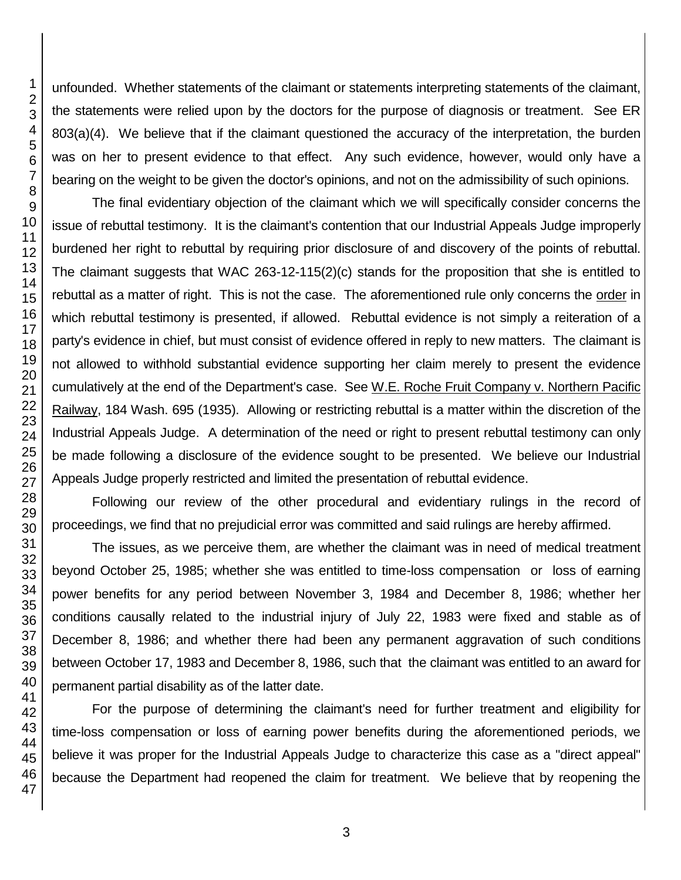unfounded. Whether statements of the claimant or statements interpreting statements of the claimant, the statements were relied upon by the doctors for the purpose of diagnosis or treatment. See ER 803(a)(4). We believe that if the claimant questioned the accuracy of the interpretation, the burden was on her to present evidence to that effect. Any such evidence, however, would only have a bearing on the weight to be given the doctor's opinions, and not on the admissibility of such opinions.

The final evidentiary objection of the claimant which we will specifically consider concerns the issue of rebuttal testimony. It is the claimant's contention that our Industrial Appeals Judge improperly burdened her right to rebuttal by requiring prior disclosure of and discovery of the points of rebuttal. The claimant suggests that WAC 263-12-115(2)(c) stands for the proposition that she is entitled to rebuttal as a matter of right. This is not the case. The aforementioned rule only concerns the order in which rebuttal testimony is presented, if allowed. Rebuttal evidence is not simply a reiteration of a party's evidence in chief, but must consist of evidence offered in reply to new matters. The claimant is not allowed to withhold substantial evidence supporting her claim merely to present the evidence cumulatively at the end of the Department's case. See W.E. Roche Fruit Company v. Northern Pacific Railway, 184 Wash. 695 (1935). Allowing or restricting rebuttal is a matter within the discretion of the Industrial Appeals Judge. A determination of the need or right to present rebuttal testimony can only be made following a disclosure of the evidence sought to be presented. We believe our Industrial Appeals Judge properly restricted and limited the presentation of rebuttal evidence.

Following our review of the other procedural and evidentiary rulings in the record of proceedings, we find that no prejudicial error was committed and said rulings are hereby affirmed.

The issues, as we perceive them, are whether the claimant was in need of medical treatment beyond October 25, 1985; whether she was entitled to time-loss compensation or loss of earning power benefits for any period between November 3, 1984 and December 8, 1986; whether her conditions causally related to the industrial injury of July 22, 1983 were fixed and stable as of December 8, 1986; and whether there had been any permanent aggravation of such conditions between October 17, 1983 and December 8, 1986, such that the claimant was entitled to an award for permanent partial disability as of the latter date.

For the purpose of determining the claimant's need for further treatment and eligibility for time-loss compensation or loss of earning power benefits during the aforementioned periods, we believe it was proper for the Industrial Appeals Judge to characterize this case as a "direct appeal" because the Department had reopened the claim for treatment. We believe that by reopening the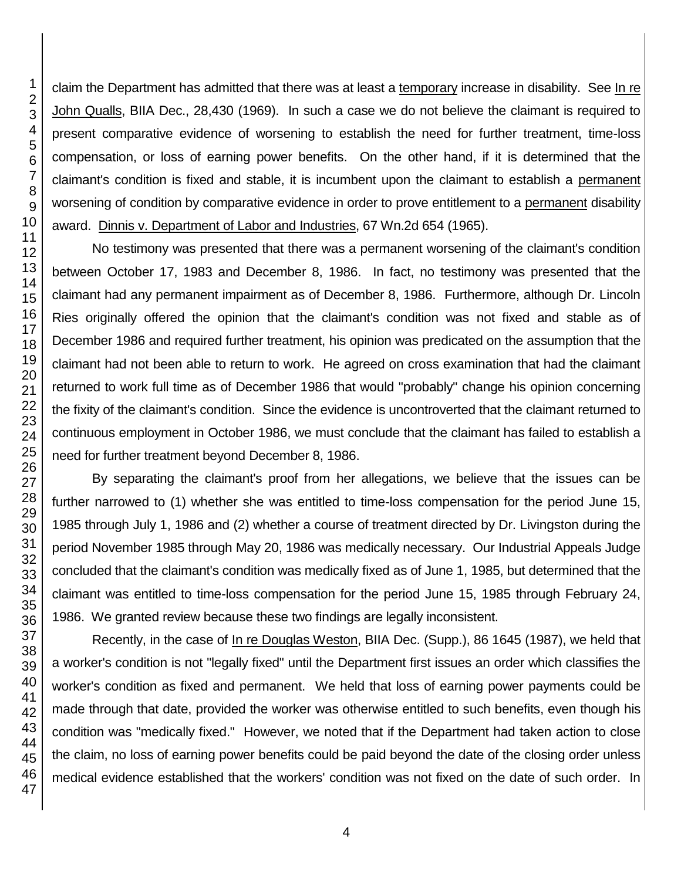claim the Department has admitted that there was at least a temporary increase in disability. See In re John Qualls, BIIA Dec., 28,430 (1969). In such a case we do not believe the claimant is required to present comparative evidence of worsening to establish the need for further treatment, time-loss compensation, or loss of earning power benefits. On the other hand, if it is determined that the claimant's condition is fixed and stable, it is incumbent upon the claimant to establish a permanent worsening of condition by comparative evidence in order to prove entitlement to a permanent disability award. Dinnis v. Department of Labor and Industries, 67 Wn.2d 654 (1965).

No testimony was presented that there was a permanent worsening of the claimant's condition between October 17, 1983 and December 8, 1986. In fact, no testimony was presented that the claimant had any permanent impairment as of December 8, 1986. Furthermore, although Dr. Lincoln Ries originally offered the opinion that the claimant's condition was not fixed and stable as of December 1986 and required further treatment, his opinion was predicated on the assumption that the claimant had not been able to return to work. He agreed on cross examination that had the claimant returned to work full time as of December 1986 that would "probably" change his opinion concerning the fixity of the claimant's condition. Since the evidence is uncontroverted that the claimant returned to continuous employment in October 1986, we must conclude that the claimant has failed to establish a need for further treatment beyond December 8, 1986.

By separating the claimant's proof from her allegations, we believe that the issues can be further narrowed to (1) whether she was entitled to time-loss compensation for the period June 15, 1985 through July 1, 1986 and (2) whether a course of treatment directed by Dr. Livingston during the period November 1985 through May 20, 1986 was medically necessary. Our Industrial Appeals Judge concluded that the claimant's condition was medically fixed as of June 1, 1985, but determined that the claimant was entitled to time-loss compensation for the period June 15, 1985 through February 24, 1986. We granted review because these two findings are legally inconsistent.

Recently, in the case of In re Douglas Weston, BIIA Dec. (Supp.), 86 1645 (1987), we held that a worker's condition is not "legally fixed" until the Department first issues an order which classifies the worker's condition as fixed and permanent. We held that loss of earning power payments could be made through that date, provided the worker was otherwise entitled to such benefits, even though his condition was "medically fixed." However, we noted that if the Department had taken action to close the claim, no loss of earning power benefits could be paid beyond the date of the closing order unless medical evidence established that the workers' condition was not fixed on the date of such order. In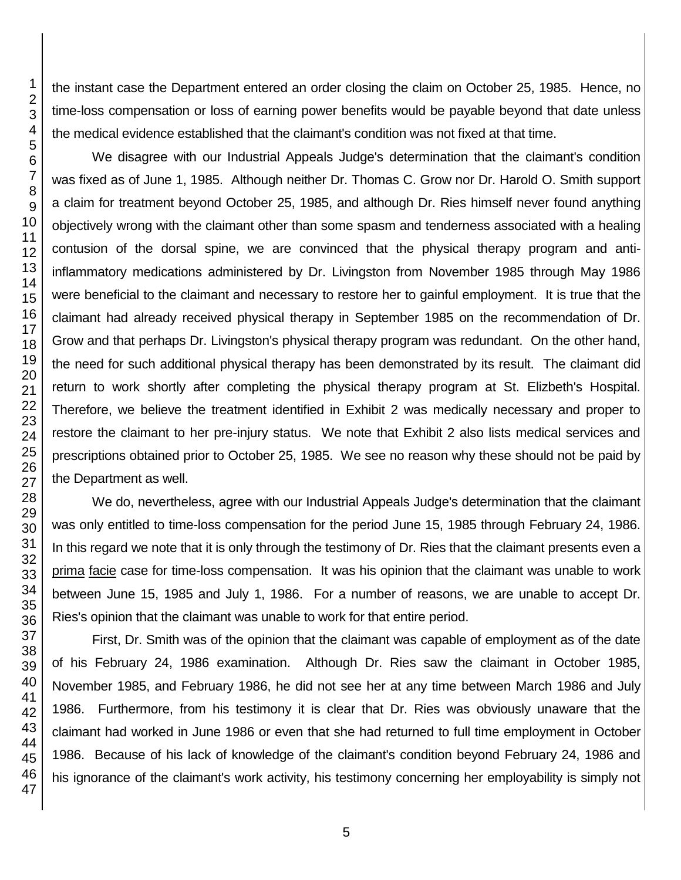the instant case the Department entered an order closing the claim on October 25, 1985. Hence, no time-loss compensation or loss of earning power benefits would be payable beyond that date unless the medical evidence established that the claimant's condition was not fixed at that time.

We disagree with our Industrial Appeals Judge's determination that the claimant's condition was fixed as of June 1, 1985. Although neither Dr. Thomas C. Grow nor Dr. Harold O. Smith support a claim for treatment beyond October 25, 1985, and although Dr. Ries himself never found anything objectively wrong with the claimant other than some spasm and tenderness associated with a healing contusion of the dorsal spine, we are convinced that the physical therapy program and antiinflammatory medications administered by Dr. Livingston from November 1985 through May 1986 were beneficial to the claimant and necessary to restore her to gainful employment. It is true that the claimant had already received physical therapy in September 1985 on the recommendation of Dr. Grow and that perhaps Dr. Livingston's physical therapy program was redundant. On the other hand, the need for such additional physical therapy has been demonstrated by its result. The claimant did return to work shortly after completing the physical therapy program at St. Elizbeth's Hospital. Therefore, we believe the treatment identified in Exhibit 2 was medically necessary and proper to restore the claimant to her pre-injury status. We note that Exhibit 2 also lists medical services and prescriptions obtained prior to October 25, 1985. We see no reason why these should not be paid by the Department as well.

We do, nevertheless, agree with our Industrial Appeals Judge's determination that the claimant was only entitled to time-loss compensation for the period June 15, 1985 through February 24, 1986. In this regard we note that it is only through the testimony of Dr. Ries that the claimant presents even a prima facie case for time-loss compensation. It was his opinion that the claimant was unable to work between June 15, 1985 and July 1, 1986. For a number of reasons, we are unable to accept Dr. Ries's opinion that the claimant was unable to work for that entire period.

First, Dr. Smith was of the opinion that the claimant was capable of employment as of the date of his February 24, 1986 examination. Although Dr. Ries saw the claimant in October 1985, November 1985, and February 1986, he did not see her at any time between March 1986 and July 1986. Furthermore, from his testimony it is clear that Dr. Ries was obviously unaware that the claimant had worked in June 1986 or even that she had returned to full time employment in October 1986. Because of his lack of knowledge of the claimant's condition beyond February 24, 1986 and his ignorance of the claimant's work activity, his testimony concerning her employability is simply not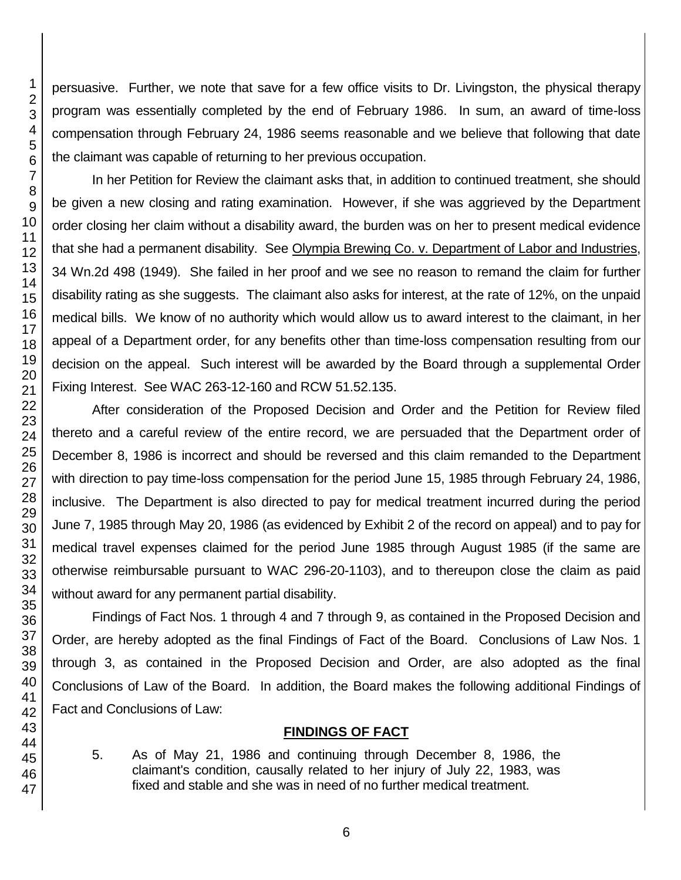persuasive. Further, we note that save for a few office visits to Dr. Livingston, the physical therapy program was essentially completed by the end of February 1986. In sum, an award of time-loss compensation through February 24, 1986 seems reasonable and we believe that following that date the claimant was capable of returning to her previous occupation.

In her Petition for Review the claimant asks that, in addition to continued treatment, she should be given a new closing and rating examination. However, if she was aggrieved by the Department order closing her claim without a disability award, the burden was on her to present medical evidence that she had a permanent disability. See Olympia Brewing Co. v. Department of Labor and Industries, 34 Wn.2d 498 (1949). She failed in her proof and we see no reason to remand the claim for further disability rating as she suggests. The claimant also asks for interest, at the rate of 12%, on the unpaid medical bills. We know of no authority which would allow us to award interest to the claimant, in her appeal of a Department order, for any benefits other than time-loss compensation resulting from our decision on the appeal. Such interest will be awarded by the Board through a supplemental Order Fixing Interest. See WAC 263-12-160 and RCW 51.52.135.

After consideration of the Proposed Decision and Order and the Petition for Review filed thereto and a careful review of the entire record, we are persuaded that the Department order of December 8, 1986 is incorrect and should be reversed and this claim remanded to the Department with direction to pay time-loss compensation for the period June 15, 1985 through February 24, 1986, inclusive. The Department is also directed to pay for medical treatment incurred during the period June 7, 1985 through May 20, 1986 (as evidenced by Exhibit 2 of the record on appeal) and to pay for medical travel expenses claimed for the period June 1985 through August 1985 (if the same are otherwise reimbursable pursuant to WAC 296-20-1103), and to thereupon close the claim as paid without award for any permanent partial disability.

Findings of Fact Nos. 1 through 4 and 7 through 9, as contained in the Proposed Decision and Order, are hereby adopted as the final Findings of Fact of the Board. Conclusions of Law Nos. 1 through 3, as contained in the Proposed Decision and Order, are also adopted as the final Conclusions of Law of the Board. In addition, the Board makes the following additional Findings of Fact and Conclusions of Law:

# **FINDINGS OF FACT**

5. As of May 21, 1986 and continuing through December 8, 1986, the claimant's condition, causally related to her injury of July 22, 1983, was fixed and stable and she was in need of no further medical treatment.